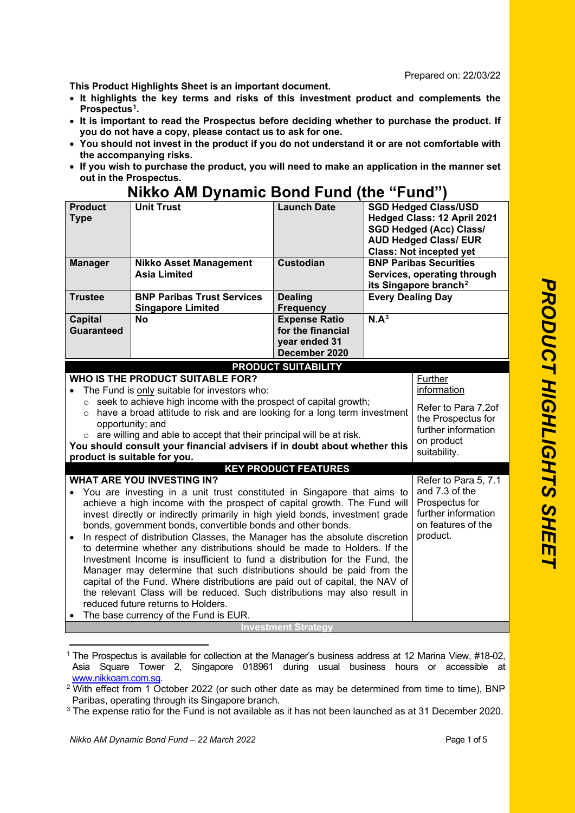## Prepared on: 22/03/22

**This Product Highlights Sheet is an important document.**

- **It highlights the key terms and risks of this investment product and complements the Prospectus[1](#page-0-0).**
- **It is important to read the Prospectus before deciding whether to purchase the product. If you do not have a copy, please contact us to ask for one.**
- **You should not invest in the product if you do not understand it or are not comfortable with the accompanying risks.**
- **If you wish to purchase the product, you will need to make an application in the manner set out in the Prospectus.**

## **Nikko AM Dynamic Bond Fund (the "Fund")**

| <b>Product</b><br><b>Type</b>       | <b>Unit Trust</b>                                                                                                                                                                                                                                                                                                                                                                                                                                                                                                                                                                                                                                                                                                                                                                                                        | <b>Launch Date</b>                                                          |                          | <b>SGD Hedged Class/USD</b><br>Hedged Class: 12 April 2021<br><b>SGD Hedged (Acc) Class/</b><br><b>AUD Hedged Class/ EUR</b><br><b>Class: Not incepted yet</b> |
|-------------------------------------|--------------------------------------------------------------------------------------------------------------------------------------------------------------------------------------------------------------------------------------------------------------------------------------------------------------------------------------------------------------------------------------------------------------------------------------------------------------------------------------------------------------------------------------------------------------------------------------------------------------------------------------------------------------------------------------------------------------------------------------------------------------------------------------------------------------------------|-----------------------------------------------------------------------------|--------------------------|----------------------------------------------------------------------------------------------------------------------------------------------------------------|
| <b>Manager</b>                      | <b>Nikko Asset Management</b><br><b>Asia Limited</b>                                                                                                                                                                                                                                                                                                                                                                                                                                                                                                                                                                                                                                                                                                                                                                     | <b>Custodian</b>                                                            |                          | <b>BNP Paribas Securities</b><br>Services, operating through<br>its Singapore branch <sup>2</sup>                                                              |
| <b>Trustee</b>                      | <b>BNP Paribas Trust Services</b><br><b>Singapore Limited</b>                                                                                                                                                                                                                                                                                                                                                                                                                                                                                                                                                                                                                                                                                                                                                            | <b>Dealing</b><br><b>Frequency</b>                                          | <b>Every Dealing Day</b> |                                                                                                                                                                |
| <b>Capital</b><br><b>Guaranteed</b> | <b>No</b>                                                                                                                                                                                                                                                                                                                                                                                                                                                                                                                                                                                                                                                                                                                                                                                                                | <b>Expense Ratio</b><br>for the financial<br>year ended 31<br>December 2020 | N.A <sup>3</sup>         |                                                                                                                                                                |
|                                     |                                                                                                                                                                                                                                                                                                                                                                                                                                                                                                                                                                                                                                                                                                                                                                                                                          | <b>PRODUCT SUITABILITY</b>                                                  |                          |                                                                                                                                                                |
| $\circ$                             | <b>WHO IS THE PRODUCT SUITABLE FOR?</b><br>The Fund is only suitable for investors who:<br>$\circ$ seek to achieve high income with the prospect of capital growth;<br>have a broad attitude to risk and are looking for a long term investment<br>opportunity; and<br>$\circ$ are willing and able to accept that their principal will be at risk.<br>You should consult your financial advisers if in doubt about whether this<br>product is suitable for you.                                                                                                                                                                                                                                                                                                                                                         |                                                                             |                          | Further<br>information<br>Refer to Para 7.2of<br>the Prospectus for<br>further information<br>on product<br>suitability.                                       |
|                                     | <b>WHAT ARE YOU INVESTING IN?</b>                                                                                                                                                                                                                                                                                                                                                                                                                                                                                                                                                                                                                                                                                                                                                                                        | <b>KEY PRODUCT FEATURES</b>                                                 |                          | Refer to Para 5, 7.1                                                                                                                                           |
| $\bullet$                           | You are investing in a unit trust constituted in Singapore that aims to<br>achieve a high income with the prospect of capital growth. The Fund will<br>invest directly or indirectly primarily in high yield bonds, investment grade<br>bonds, government bonds, convertible bonds and other bonds.<br>In respect of distribution Classes, the Manager has the absolute discretion<br>to determine whether any distributions should be made to Holders. If the<br>Investment Income is insufficient to fund a distribution for the Fund, the<br>Manager may determine that such distributions should be paid from the<br>capital of the Fund. Where distributions are paid out of capital, the NAV of<br>the relevant Class will be reduced. Such distributions may also result in<br>reduced future returns to Holders. |                                                                             |                          | and 7.3 of the<br>Prospectus for<br>further information<br>on features of the<br>product.                                                                      |
|                                     | The base currency of the Fund is EUR.                                                                                                                                                                                                                                                                                                                                                                                                                                                                                                                                                                                                                                                                                                                                                                                    | <b>Investment Strategy</b>                                                  |                          |                                                                                                                                                                |
|                                     |                                                                                                                                                                                                                                                                                                                                                                                                                                                                                                                                                                                                                                                                                                                                                                                                                          |                                                                             |                          |                                                                                                                                                                |

<span id="page-0-0"></span><sup>1</sup> The Prospectus is available for collection at the Manager's business address at 12 Marina View, #18-02, Asia Square Tower 2, Singapore 018961 during usual business hours or accessible at www.nikkoam.com.sg.

<span id="page-0-1"></span><sup>&</sup>lt;sup>2</sup> With effect from 1 October 2022 (or such other date as may be determined from time to time), BNP Paribas, operating through its Singapore branch.

<span id="page-0-2"></span><sup>&</sup>lt;sup>3</sup> The expense ratio for the Fund is not available as it has not been launched as at 31 December 2020.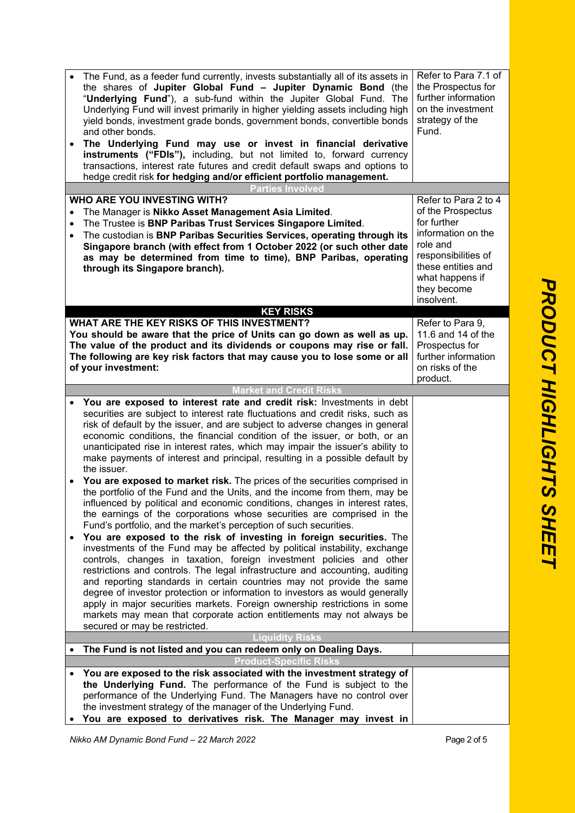| $\bullet$              | The Fund, as a feeder fund currently, invests substantially all of its assets in<br>the shares of Jupiter Global Fund - Jupiter Dynamic Bond (the<br>"Underlying Fund"), a sub-fund within the Jupiter Global Fund. The<br>Underlying Fund will invest primarily in higher yielding assets including high<br>yield bonds, investment grade bonds, government bonds, convertible bonds<br>and other bonds.<br>The Underlying Fund may use or invest in financial derivative<br>instruments ("FDIs"), including, but not limited to, forward currency<br>transactions, interest rate futures and credit default swaps and options to<br>hedge credit risk for hedging and/or efficient portfolio management.                                                                                                                                                                                                                                                                                                                                                                                                                                                                                                                                                                                                                                                                                                                                                                                                                                                 | Refer to Para 7.1 of<br>the Prospectus for<br>further information<br>on the investment<br>strategy of the<br>Fund.                                                                      |
|------------------------|------------------------------------------------------------------------------------------------------------------------------------------------------------------------------------------------------------------------------------------------------------------------------------------------------------------------------------------------------------------------------------------------------------------------------------------------------------------------------------------------------------------------------------------------------------------------------------------------------------------------------------------------------------------------------------------------------------------------------------------------------------------------------------------------------------------------------------------------------------------------------------------------------------------------------------------------------------------------------------------------------------------------------------------------------------------------------------------------------------------------------------------------------------------------------------------------------------------------------------------------------------------------------------------------------------------------------------------------------------------------------------------------------------------------------------------------------------------------------------------------------------------------------------------------------------|-----------------------------------------------------------------------------------------------------------------------------------------------------------------------------------------|
|                        | <b>Parties Involved</b>                                                                                                                                                                                                                                                                                                                                                                                                                                                                                                                                                                                                                                                                                                                                                                                                                                                                                                                                                                                                                                                                                                                                                                                                                                                                                                                                                                                                                                                                                                                                    |                                                                                                                                                                                         |
| $\bullet$              | <b>WHO ARE YOU INVESTING WITH?</b><br>The Manager is Nikko Asset Management Asia Limited.<br>The Trustee is BNP Paribas Trust Services Singapore Limited.<br>The custodian is BNP Paribas Securities Services, operating through its<br>Singapore branch (with effect from 1 October 2022 (or such other date<br>as may be determined from time to time), BNP Paribas, operating<br>through its Singapore branch).                                                                                                                                                                                                                                                                                                                                                                                                                                                                                                                                                                                                                                                                                                                                                                                                                                                                                                                                                                                                                                                                                                                                         | Refer to Para 2 to 4<br>of the Prospectus<br>for further<br>information on the<br>role and<br>responsibilities of<br>these entities and<br>what happens if<br>they become<br>insolvent. |
|                        | <b>KEY RISKS</b>                                                                                                                                                                                                                                                                                                                                                                                                                                                                                                                                                                                                                                                                                                                                                                                                                                                                                                                                                                                                                                                                                                                                                                                                                                                                                                                                                                                                                                                                                                                                           |                                                                                                                                                                                         |
|                        | WHAT ARE THE KEY RISKS OF THIS INVESTMENT?<br>You should be aware that the price of Units can go down as well as up.<br>The value of the product and its dividends or coupons may rise or fall.<br>The following are key risk factors that may cause you to lose some or all<br>of your investment:                                                                                                                                                                                                                                                                                                                                                                                                                                                                                                                                                                                                                                                                                                                                                                                                                                                                                                                                                                                                                                                                                                                                                                                                                                                        | Refer to Para 9,<br>11.6 and 14 of the<br>Prospectus for<br>further information<br>on risks of the<br>product.                                                                          |
|                        | <b>Market and Credit Risks</b>                                                                                                                                                                                                                                                                                                                                                                                                                                                                                                                                                                                                                                                                                                                                                                                                                                                                                                                                                                                                                                                                                                                                                                                                                                                                                                                                                                                                                                                                                                                             |                                                                                                                                                                                         |
| $\bullet$<br>$\bullet$ | You are exposed to interest rate and credit risk: Investments in debt<br>securities are subject to interest rate fluctuations and credit risks, such as<br>risk of default by the issuer, and are subject to adverse changes in general<br>economic conditions, the financial condition of the issuer, or both, or an<br>unanticipated rise in interest rates, which may impair the issuer's ability to<br>make payments of interest and principal, resulting in a possible default by<br>the issuer.<br>You are exposed to market risk. The prices of the securities comprised in<br>the portfolio of the Fund and the Units, and the income from them, may be<br>influenced by political and economic conditions, changes in interest rates,<br>the earnings of the corporations whose securities are comprised in the<br>Fund's portfolio, and the market's perception of such securities.<br>You are exposed to the risk of investing in foreign securities. The<br>investments of the Fund may be affected by political instability, exchange<br>controls, changes in taxation, foreign investment policies and other<br>restrictions and controls. The legal infrastructure and accounting, auditing<br>and reporting standards in certain countries may not provide the same<br>degree of investor protection or information to investors as would generally<br>apply in major securities markets. Foreign ownership restrictions in some<br>markets may mean that corporate action entitlements may not always be<br>secured or may be restricted. |                                                                                                                                                                                         |
|                        | Liquidity Risks                                                                                                                                                                                                                                                                                                                                                                                                                                                                                                                                                                                                                                                                                                                                                                                                                                                                                                                                                                                                                                                                                                                                                                                                                                                                                                                                                                                                                                                                                                                                            |                                                                                                                                                                                         |
|                        | The Fund is not listed and you can redeem only on Dealing Days.                                                                                                                                                                                                                                                                                                                                                                                                                                                                                                                                                                                                                                                                                                                                                                                                                                                                                                                                                                                                                                                                                                                                                                                                                                                                                                                                                                                                                                                                                            |                                                                                                                                                                                         |
|                        | <b>Product-Specific Risks</b>                                                                                                                                                                                                                                                                                                                                                                                                                                                                                                                                                                                                                                                                                                                                                                                                                                                                                                                                                                                                                                                                                                                                                                                                                                                                                                                                                                                                                                                                                                                              |                                                                                                                                                                                         |
|                        | You are exposed to the risk associated with the investment strategy of<br>the Underlying Fund. The performance of the Fund is subject to the<br>performance of the Underlying Fund. The Managers have no control over<br>the investment strategy of the manager of the Underlying Fund.<br>You are exposed to derivatives risk. The Manager may invest in                                                                                                                                                                                                                                                                                                                                                                                                                                                                                                                                                                                                                                                                                                                                                                                                                                                                                                                                                                                                                                                                                                                                                                                                  |                                                                                                                                                                                         |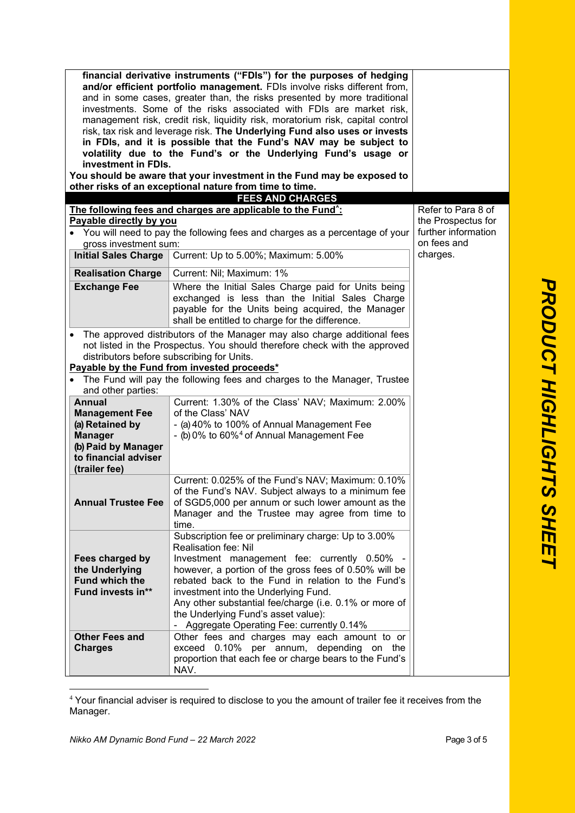|                                            | financial derivative instruments ("FDIs") for the purposes of hedging          |                     |
|--------------------------------------------|--------------------------------------------------------------------------------|---------------------|
|                                            | and/or efficient portfolio management. FDIs involve risks different from,      |                     |
|                                            | and in some cases, greater than, the risks presented by more traditional       |                     |
|                                            | investments. Some of the risks associated with FDIs are market risk,           |                     |
|                                            | management risk, credit risk, liquidity risk, moratorium risk, capital control |                     |
|                                            | risk, tax risk and leverage risk. The Underlying Fund also uses or invests     |                     |
|                                            | in FDIs, and it is possible that the Fund's NAV may be subject to              |                     |
|                                            | volatility due to the Fund's or the Underlying Fund's usage or                 |                     |
| investment in FDIs.                        |                                                                                |                     |
|                                            | You should be aware that your investment in the Fund may be exposed to         |                     |
|                                            | other risks of an exceptional nature from time to time.                        |                     |
|                                            | <b>FEES AND CHARGES</b>                                                        |                     |
|                                            | The following fees and charges are applicable to the Fund <sup>*</sup> :       | Refer to Para 8 of  |
| Payable directly by you                    |                                                                                | the Prospectus for  |
|                                            | • You will need to pay the following fees and charges as a percentage of your  | further information |
| gross investment sum:                      |                                                                                | on fees and         |
|                                            | Initial Sales Charge   Current: Up to 5.00%; Maximum: 5.00%                    | charges.            |
| <b>Realisation Charge</b>                  | Current: Nil; Maximum: 1%                                                      |                     |
| <b>Exchange Fee</b>                        | Where the Initial Sales Charge paid for Units being                            |                     |
|                                            | exchanged is less than the Initial Sales Charge                                |                     |
|                                            | payable for the Units being acquired, the Manager                              |                     |
|                                            | shall be entitled to charge for the difference.                                |                     |
|                                            | The approved distributors of the Manager may also charge additional fees       |                     |
|                                            | not listed in the Prospectus. You should therefore check with the approved     |                     |
| distributors before subscribing for Units. |                                                                                |                     |
|                                            | Payable by the Fund from invested proceeds*                                    |                     |
|                                            | • The Fund will pay the following fees and charges to the Manager, Trustee     |                     |
| and other parties:                         |                                                                                |                     |
| <b>Annual</b>                              | Current: 1.30% of the Class' NAV; Maximum: 2.00%                               |                     |
| <b>Management Fee</b>                      | of the Class' NAV                                                              |                     |
| (a) Retained by                            | - (a) 40% to 100% of Annual Management Fee                                     |                     |
| <b>Manager</b>                             | - (b) 0% to 60% <sup>4</sup> of Annual Management Fee                          |                     |
| (b) Paid by Manager                        |                                                                                |                     |
| to financial adviser                       |                                                                                |                     |
| (trailer fee)                              |                                                                                |                     |
|                                            | Current: 0.025% of the Fund's NAV; Maximum: 0.10%                              |                     |
|                                            | of the Fund's NAV. Subject always to a minimum fee                             |                     |
| <b>Annual Trustee Fee</b>                  | of SGD5,000 per annum or such lower amount as the                              |                     |
|                                            | Manager and the Trustee may agree from time to                                 |                     |
|                                            | time.                                                                          |                     |
|                                            | Subscription fee or preliminary charge: Up to 3.00%                            |                     |
|                                            | Realisation fee: Nil                                                           |                     |
| Fees charged by                            | Investment management fee: currently 0.50% -                                   |                     |
| the Underlying                             | however, a portion of the gross fees of 0.50% will be                          |                     |
| <b>Fund which the</b>                      | rebated back to the Fund in relation to the Fund's                             |                     |
| Fund invests in**                          | investment into the Underlying Fund.                                           |                     |
|                                            | Any other substantial fee/charge (i.e. 0.1% or more of                         |                     |
|                                            | the Underlying Fund's asset value):                                            |                     |
|                                            | - Aggregate Operating Fee: currently 0.14%                                     |                     |
| <b>Other Fees and</b>                      | Other fees and charges may each amount to or                                   |                     |
| <b>Charges</b>                             | exceed 0.10% per annum, depending on the                                       |                     |
|                                            | proportion that each fee or charge bears to the Fund's                         |                     |
|                                            | NAV.                                                                           |                     |
|                                            |                                                                                |                     |

<span id="page-2-0"></span><sup>4</sup> Your financial adviser is required to disclose to you the amount of trailer fee it receives from the Manager.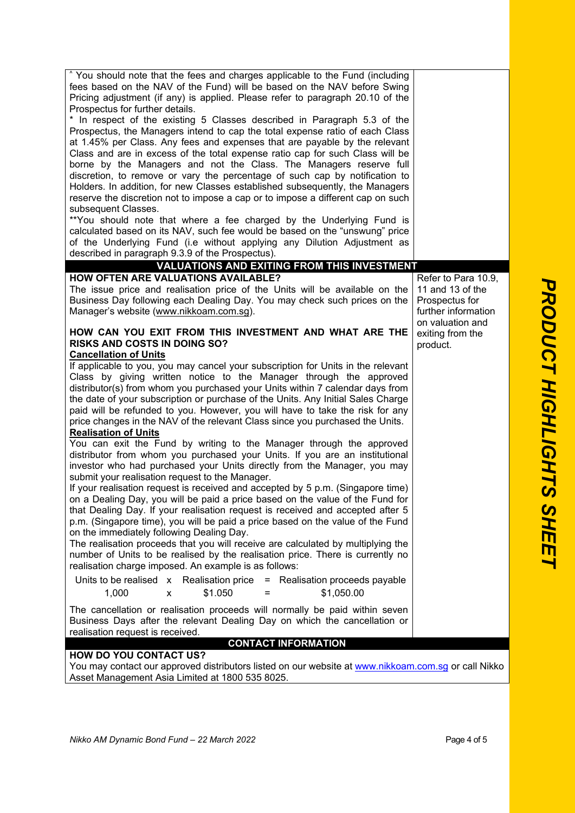| <sup>^</sup> You should note that the fees and charges applicable to the Fund (including<br>fees based on the NAV of the Fund) will be based on the NAV before Swing<br>Pricing adjustment (if any) is applied. Please refer to paragraph 20.10 of the<br>Prospectus for further details.<br>* In respect of the existing 5 Classes described in Paragraph 5.3 of the<br>Prospectus, the Managers intend to cap the total expense ratio of each Class<br>at 1.45% per Class. Any fees and expenses that are payable by the relevant<br>Class and are in excess of the total expense ratio cap for such Class will be<br>borne by the Managers and not the Class. The Managers reserve full<br>discretion, to remove or vary the percentage of such cap by notification to<br>Holders. In addition, for new Classes established subsequently, the Managers<br>reserve the discretion not to impose a cap or to impose a different cap on such                                                                                                                                                                                                                                                                                                                                                                                                                                                                                                                                                                                                                                                                                                                                                                                                                                                                                                                                                         |                                                                                  |
|------------------------------------------------------------------------------------------------------------------------------------------------------------------------------------------------------------------------------------------------------------------------------------------------------------------------------------------------------------------------------------------------------------------------------------------------------------------------------------------------------------------------------------------------------------------------------------------------------------------------------------------------------------------------------------------------------------------------------------------------------------------------------------------------------------------------------------------------------------------------------------------------------------------------------------------------------------------------------------------------------------------------------------------------------------------------------------------------------------------------------------------------------------------------------------------------------------------------------------------------------------------------------------------------------------------------------------------------------------------------------------------------------------------------------------------------------------------------------------------------------------------------------------------------------------------------------------------------------------------------------------------------------------------------------------------------------------------------------------------------------------------------------------------------------------------------------------------------------------------------------------------------------|----------------------------------------------------------------------------------|
| subsequent Classes.<br>**You should note that where a fee charged by the Underlying Fund is<br>calculated based on its NAV, such fee would be based on the "unswung" price<br>of the Underlying Fund (i.e without applying any Dilution Adjustment as<br>described in paragraph 9.3.9 of the Prospectus).                                                                                                                                                                                                                                                                                                                                                                                                                                                                                                                                                                                                                                                                                                                                                                                                                                                                                                                                                                                                                                                                                                                                                                                                                                                                                                                                                                                                                                                                                                                                                                                            |                                                                                  |
| <b>VALUATIONS AND EXITING FROM THIS INVESTMENT</b>                                                                                                                                                                                                                                                                                                                                                                                                                                                                                                                                                                                                                                                                                                                                                                                                                                                                                                                                                                                                                                                                                                                                                                                                                                                                                                                                                                                                                                                                                                                                                                                                                                                                                                                                                                                                                                                   |                                                                                  |
| <b>HOW OFTEN ARE VALUATIONS AVAILABLE?</b><br>The issue price and realisation price of the Units will be available on the<br>Business Day following each Dealing Day. You may check such prices on the<br>Manager's website (www.nikkoam.com.sg).                                                                                                                                                                                                                                                                                                                                                                                                                                                                                                                                                                                                                                                                                                                                                                                                                                                                                                                                                                                                                                                                                                                                                                                                                                                                                                                                                                                                                                                                                                                                                                                                                                                    | Refer to Para 10.9,<br>11 and 13 of the<br>Prospectus for<br>further information |
| HOW CAN YOU EXIT FROM THIS INVESTMENT AND WHAT ARE THE<br><b>RISKS AND COSTS IN DOING SO?</b><br><b>Cancellation of Units</b><br>If applicable to you, you may cancel your subscription for Units in the relevant<br>Class by giving written notice to the Manager through the approved<br>distributor(s) from whom you purchased your Units within 7 calendar days from<br>the date of your subscription or purchase of the Units. Any Initial Sales Charge<br>paid will be refunded to you. However, you will have to take the risk for any<br>price changes in the NAV of the relevant Class since you purchased the Units.<br><b>Realisation of Units</b><br>You can exit the Fund by writing to the Manager through the approved<br>distributor from whom you purchased your Units. If you are an institutional<br>investor who had purchased your Units directly from the Manager, you may<br>submit your realisation request to the Manager.<br>If your realisation request is received and accepted by 5 p.m. (Singapore time)<br>on a Dealing Day, you will be paid a price based on the value of the Fund for<br>that Dealing Day. If your realisation request is received and accepted after 5<br>p.m. (Singapore time), you will be paid a price based on the value of the Fund<br>on the immediately following Dealing Day.<br>The realisation proceeds that you will receive are calculated by multiplying the<br>number of Units to be realised by the realisation price. There is currently no<br>realisation charge imposed. An example is as follows:<br>Units to be realised $x$ Realisation price $=$ Realisation proceeds payable<br>\$1,050.00<br>1,000<br>\$1.050<br>x<br>$=$<br>The cancellation or realisation proceeds will normally be paid within seven<br>Business Days after the relevant Dealing Day on which the cancellation or<br>realisation request is received. | on valuation and<br>exiting from the<br>product.                                 |
| <b>CONTACT INFORMATION</b><br><b>HOW DO YOU CONTACT US?</b>                                                                                                                                                                                                                                                                                                                                                                                                                                                                                                                                                                                                                                                                                                                                                                                                                                                                                                                                                                                                                                                                                                                                                                                                                                                                                                                                                                                                                                                                                                                                                                                                                                                                                                                                                                                                                                          |                                                                                  |
| You may contact our approved distributors listed on our website at www.nikkoam.com.sg or call Nikko<br>Asset Management Asia Limited at 1800 535 8025.                                                                                                                                                                                                                                                                                                                                                                                                                                                                                                                                                                                                                                                                                                                                                                                                                                                                                                                                                                                                                                                                                                                                                                                                                                                                                                                                                                                                                                                                                                                                                                                                                                                                                                                                               |                                                                                  |